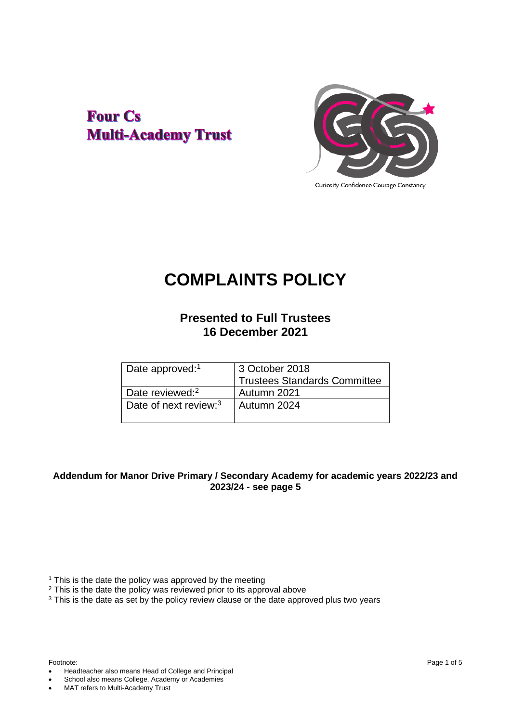## **Four Cs Multi-Academy Trust**



Curiosity Confidence Courage Constancy

# **COMPLAINTS POLICY**

### **Presented to Full Trustees 16 December 2021**

|                                   | 3 October 2018                      |
|-----------------------------------|-------------------------------------|
| Date approved: <sup>1</sup>       |                                     |
|                                   | <b>Trustees Standards Committee</b> |
| Date reviewed: <sup>2</sup>       | Autumn 2021                         |
| Date of next review: <sup>3</sup> | Autumn 2024                         |
|                                   |                                     |

#### **Addendum for Manor Drive Primary / Secondary Academy for academic years 2022/23 and 2023/24 - see page 5**

<sup>1</sup> This is the date the policy was approved by the meeting

- <sup>2</sup> This is the date the policy was reviewed prior to its approval above
- <sup>3</sup> This is the date as set by the policy review clause or the date approved plus two years

- Headteacher also means Head of College and Principal
- School also means College, Academy or Academies
- MAT refers to Multi-Academy Trust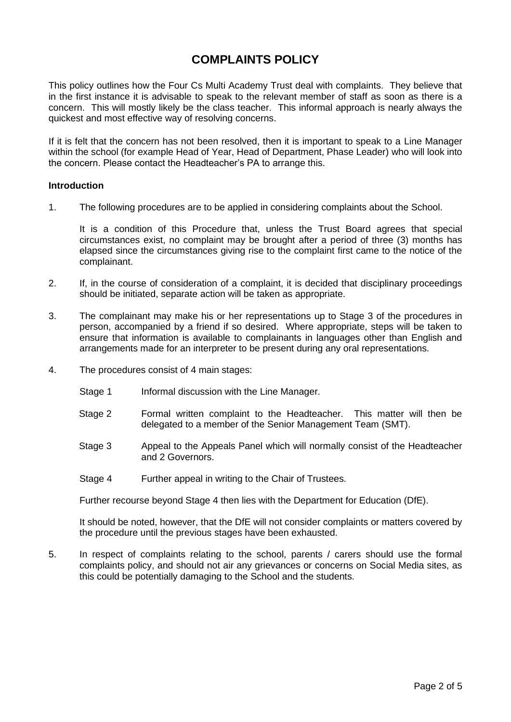## **COMPLAINTS POLICY**

This policy outlines how the Four Cs Multi Academy Trust deal with complaints. They believe that in the first instance it is advisable to speak to the relevant member of staff as soon as there is a concern. This will mostly likely be the class teacher. This informal approach is nearly always the quickest and most effective way of resolving concerns.

If it is felt that the concern has not been resolved, then it is important to speak to a Line Manager within the school (for example Head of Year, Head of Department, Phase Leader) who will look into the concern. Please contact the Headteacher's PA to arrange this.

#### **Introduction**

1. The following procedures are to be applied in considering complaints about the School.

It is a condition of this Procedure that, unless the Trust Board agrees that special circumstances exist, no complaint may be brought after a period of three (3) months has elapsed since the circumstances giving rise to the complaint first came to the notice of the complainant.

- 2. If, in the course of consideration of a complaint, it is decided that disciplinary proceedings should be initiated, separate action will be taken as appropriate.
- 3. The complainant may make his or her representations up to Stage 3 of the procedures in person, accompanied by a friend if so desired. Where appropriate, steps will be taken to ensure that information is available to complainants in languages other than English and arrangements made for an interpreter to be present during any oral representations.
- 4. The procedures consist of 4 main stages:
	- Stage 1 Informal discussion with the Line Manager.
	- Stage 2 Formal written complaint to the Headteacher. This matter will then be delegated to a member of the Senior Management Team (SMT).
	- Stage 3 Appeal to the Appeals Panel which will normally consist of the Headteacher and 2 Governors.
	- Stage 4 Further appeal in writing to the Chair of Trustees.

Further recourse beyond Stage 4 then lies with the Department for Education (DfE).

It should be noted, however, that the DfE will not consider complaints or matters covered by the procedure until the previous stages have been exhausted.

5. In respect of complaints relating to the school, parents / carers should use the formal complaints policy, and should not air any grievances or concerns on Social Media sites, as this could be potentially damaging to the School and the students.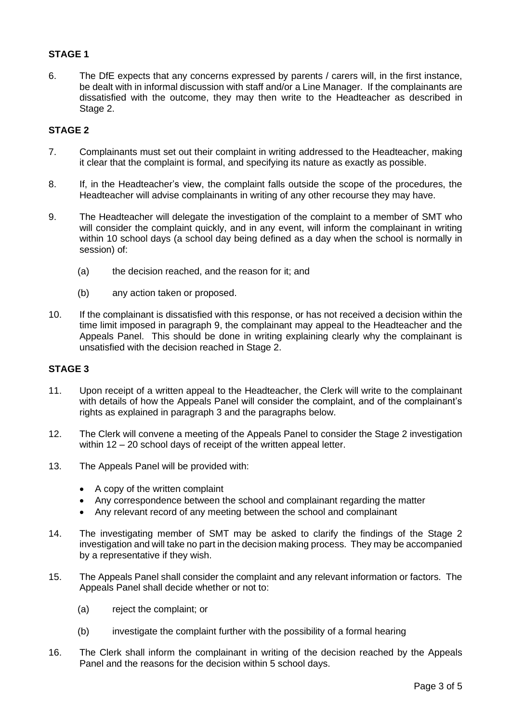#### **STAGE 1**

6. The DfE expects that any concerns expressed by parents / carers will, in the first instance, be dealt with in informal discussion with staff and/or a Line Manager. If the complainants are dissatisfied with the outcome, they may then write to the Headteacher as described in Stage 2.

#### **STAGE 2**

- 7. Complainants must set out their complaint in writing addressed to the Headteacher, making it clear that the complaint is formal, and specifying its nature as exactly as possible.
- 8. If, in the Headteacher's view, the complaint falls outside the scope of the procedures, the Headteacher will advise complainants in writing of any other recourse they may have.
- 9. The Headteacher will delegate the investigation of the complaint to a member of SMT who will consider the complaint quickly, and in any event, will inform the complainant in writing within 10 school days (a school day being defined as a day when the school is normally in session) of:
	- (a) the decision reached, and the reason for it; and
	- (b) any action taken or proposed.
- 10. If the complainant is dissatisfied with this response, or has not received a decision within the time limit imposed in paragraph 9, the complainant may appeal to the Headteacher and the Appeals Panel. This should be done in writing explaining clearly why the complainant is unsatisfied with the decision reached in Stage 2.

#### **STAGE 3**

- 11. Upon receipt of a written appeal to the Headteacher, the Clerk will write to the complainant with details of how the Appeals Panel will consider the complaint, and of the complainant's rights as explained in paragraph 3 and the paragraphs below.
- 12. The Clerk will convene a meeting of the Appeals Panel to consider the Stage 2 investigation within 12 *–* 20 school days of receipt of the written appeal letter.
- 13. The Appeals Panel will be provided with:
	- A copy of the written complaint
	- Any correspondence between the school and complainant regarding the matter
	- Any relevant record of any meeting between the school and complainant
- 14. The investigating member of SMT may be asked to clarify the findings of the Stage 2 investigation and will take no part in the decision making process. They may be accompanied by a representative if they wish.
- 15. The Appeals Panel shall consider the complaint and any relevant information or factors. The Appeals Panel shall decide whether or not to:
	- (a) reject the complaint; or
	- (b) investigate the complaint further with the possibility of a formal hearing
- 16. The Clerk shall inform the complainant in writing of the decision reached by the Appeals Panel and the reasons for the decision within 5 school days.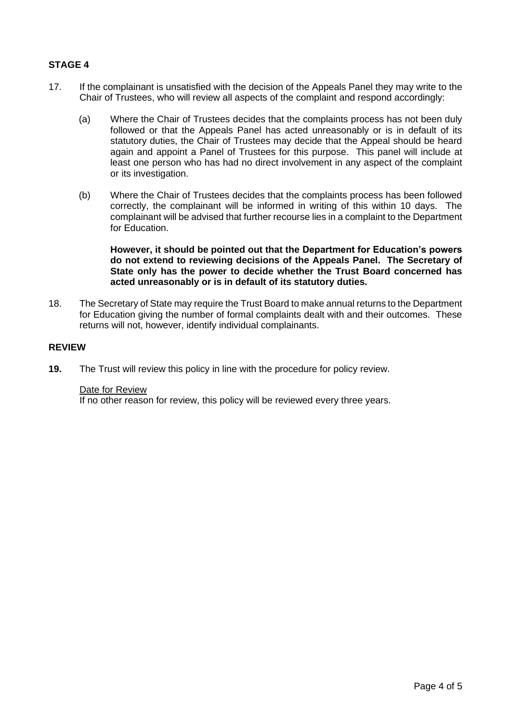#### **STAGE 4**

- 17. If the complainant is unsatisfied with the decision of the Appeals Panel they may write to the Chair of Trustees, who will review all aspects of the complaint and respond accordingly:
	- (a) Where the Chair of Trustees decides that the complaints process has not been duly followed or that the Appeals Panel has acted unreasonably or is in default of its statutory duties, the Chair of Trustees may decide that the Appeal should be heard again and appoint a Panel of Trustees for this purpose. This panel will include at least one person who has had no direct involvement in any aspect of the complaint or its investigation.
	- (b) Where the Chair of Trustees decides that the complaints process has been followed correctly, the complainant will be informed in writing of this within 10 days. The complainant will be advised that further recourse lies in a complaint to the Department for Education.

#### **However, it should be pointed out that the Department for Education's powers do not extend to reviewing decisions of the Appeals Panel. The Secretary of State only has the power to decide whether the Trust Board concerned has acted unreasonably or is in default of its statutory duties.**

18. The Secretary of State may require the Trust Board to make annual returns to the Department for Education giving the number of formal complaints dealt with and their outcomes. These returns will not, however, identify individual complainants.

#### **REVIEW**

**19.** The Trust will review this policy in line with the procedure for policy review.

#### Date for Review

If no other reason for review, this policy will be reviewed every three years.